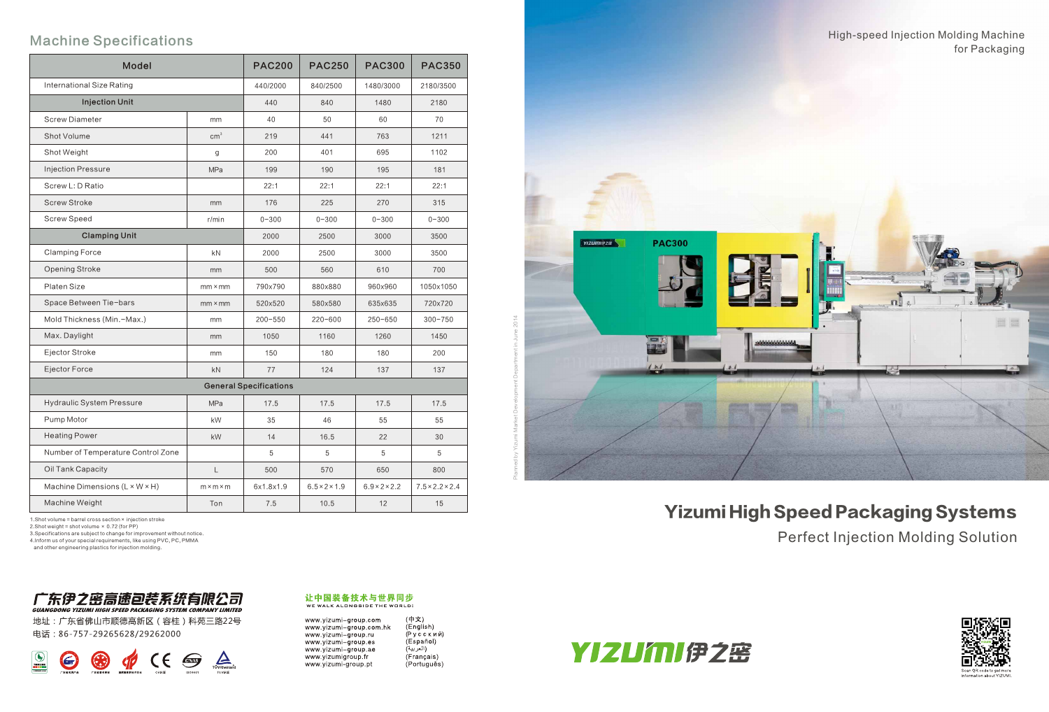## Machine Specifications

| <b>Model</b>                               |                       | <b>PAC200</b> | <b>PAC250</b>             | <b>PAC300</b>             | <b>PAC350</b>               |
|--------------------------------------------|-----------------------|---------------|---------------------------|---------------------------|-----------------------------|
| International Size Rating                  |                       | 440/2000      | 840/2500                  | 1480/3000                 | 2180/3500                   |
| <b>Injection Unit</b>                      |                       | 440           | 840                       | 1480                      | 2180                        |
| <b>Screw Diameter</b>                      | mm                    | 40            | 50                        | 60                        | 70                          |
| Shot Volume                                | cm <sup>3</sup>       | 219           | 441                       | 763                       | 1211                        |
| Shot Weight                                | g                     | 200           | 401                       | 695                       | 1102                        |
| <b>Injection Pressure</b>                  | <b>MPa</b>            | 199           | 190                       | 195                       | 181                         |
| Screw L: D Ratio                           |                       | 22:1          | 22:1                      | 22:1                      | 22:1                        |
| <b>Screw Stroke</b>                        | mm                    | 176           | 225                       | 270                       | 315                         |
| <b>Screw Speed</b>                         | $r/m$ in              | $0 - 300$     | $0 - 300$                 | $0 - 300$                 | $0 - 300$                   |
| <b>Clamping Unit</b>                       |                       | 2000          | 2500                      | 3000                      | 3500                        |
| <b>Clamping Force</b>                      | kN                    | 2000          | 2500                      | 3000                      | 3500                        |
| Opening Stroke                             | mm                    | 500           | 560                       | 610                       | 700                         |
| <b>Platen Size</b>                         | $mm \times mm$        | 790x790       | 880x880                   | 960x960                   | 1050x1050                   |
| Space Between Tie-bars                     | $mm \times mm$        | 520×520       | 580×580                   | 635x635                   | 720x720                     |
| Mold Thickness (Min.-Max.)                 | mm                    | $200 - 550$   | $220 - 600$               | $250 - 650$               | $300 - 750$                 |
| Max. Daylight                              | mm                    | 1050          | 1160                      | 1260                      | 1450                        |
| Ejector Stroke                             | mm                    | 150           | 180                       | 180                       | 200                         |
| Ejector Force                              | kN                    | 77            | 124                       | 137                       | 137                         |
| <b>General Specifications</b>              |                       |               |                           |                           |                             |
| <b>Hydraulic System Pressure</b>           | <b>MPa</b>            | 17.5          | 17.5                      | 17.5                      | 17.5                        |
| Pump Motor                                 | kW                    | 35            | 46                        | 55                        | 55                          |
| <b>Heating Power</b>                       | kW                    | 14            | 16.5                      | 22                        | 30                          |
| Number of Temperature Control Zone         |                       | 5             | 5                         | 5                         | 5                           |
| Oil Tank Capacity                          | L                     | 500           | 570                       | 650                       | 800                         |
| Machine Dimensions $(L \times W \times H)$ | $m \times m \times m$ | 6x1.8x1.9     | $6.5 \times 2 \times 1.9$ | $6.9 \times 2 \times 2.2$ | $7.5 \times 2.2 \times 2.4$ |
| Machine Weight                             | Ton                   | 7.5           | 10.5                      | 12                        | 15                          |

1.Shot volume = barrel cross section× injection stroke

2.Shot weight = shot volume × 0.72 (for PP)

3.Specifications are subject to change for improvement without notice.

4.Inform us of your special requirements, like using PVC, PC, PMMA

and other engineering plastics for injection molding.